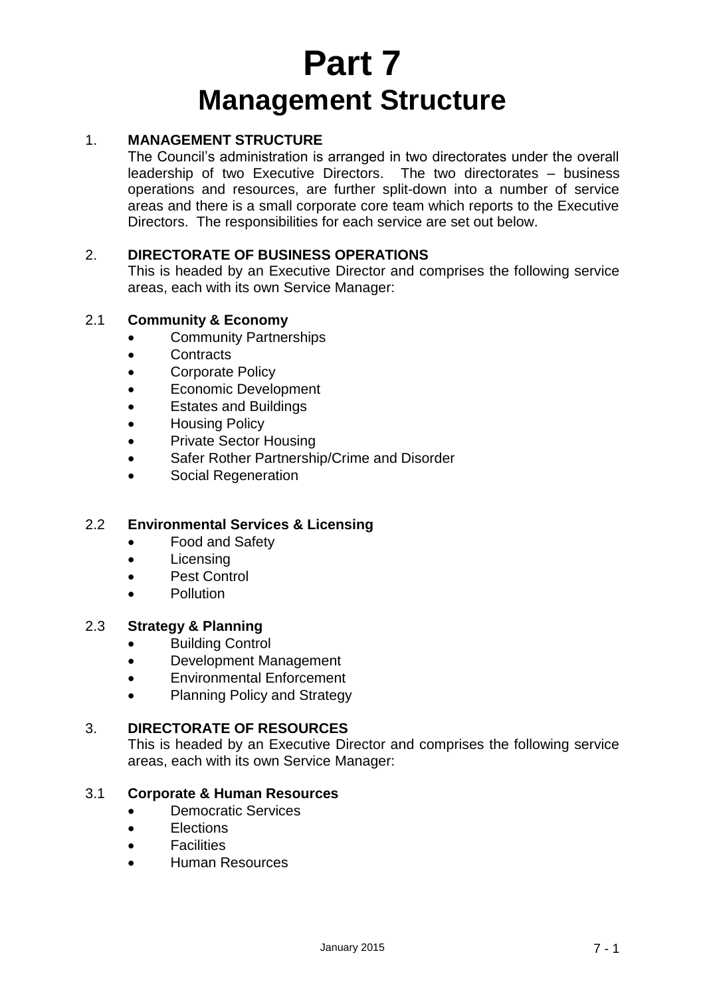# **Part 7 Management Structure**

## 1. **MANAGEMENT STRUCTURE**

The Council's administration is arranged in two directorates under the overall leadership of two Executive Directors. The two directorates – business operations and resources, are further split-down into a number of service areas and there is a small corporate core team which reports to the Executive Directors. The responsibilities for each service are set out below.

## 2. **DIRECTORATE OF BUSINESS OPERATIONS**

This is headed by an Executive Director and comprises the following service areas, each with its own Service Manager:

#### 2.1 **Community & Economy**

- Community Partnerships
- Contracts
- Corporate Policy
- Economic Development
- Estates and Buildings
- **•** Housing Policy
- Private Sector Housing
- Safer Rother Partnership/Crime and Disorder
- Social Regeneration

### 2.2 **Environmental Services & Licensing**

- Food and Safety
- Licensing
- Pest Control
- Pollution

#### 2.3 **Strategy & Planning**

- Building Control
- Development Management
- Environmental Enforcement
- Planning Policy and Strategy

#### 3. **DIRECTORATE OF RESOURCES**

This is headed by an Executive Director and comprises the following service areas, each with its own Service Manager:

#### 3.1 **Corporate & Human Resources**

- Democratic Services
- **Elections**
- **•** Facilities
- Human Resources